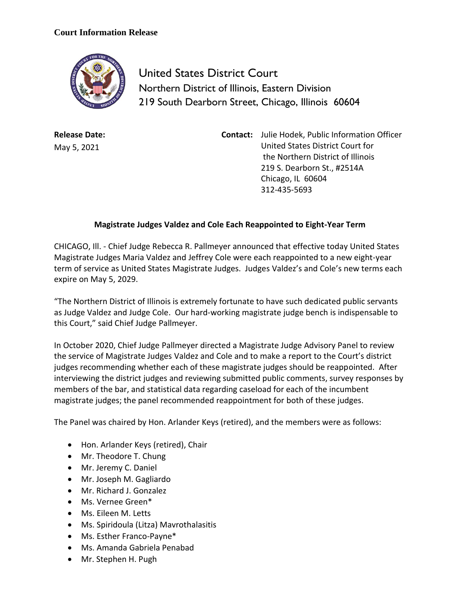## **Court Information Release**



United States District Court Northern District of Illinois, Eastern Division 219 South Dearborn Street, Chicago, Illinois 60604

**Release Date:** May 5, 2021

**Contact:** Julie Hodek, Public Information Officer United States District Court for the Northern District of Illinois 219 S. Dearborn St., #2514A Chicago, IL 60604 312-435-5693

## **Magistrate Judges Valdez and Cole Each Reappointed to Eight-Year Term**

CHICAGO, Ill. - Chief Judge Rebecca R. Pallmeyer announced that effective today United States Magistrate Judges Maria Valdez and Jeffrey Cole were each reappointed to a new eight-year term of service as United States Magistrate Judges. Judges Valdez's and Cole's new terms each expire on May 5, 2029.

"The Northern District of Illinois is extremely fortunate to have such dedicated public servants as Judge Valdez and Judge Cole. Our hard-working magistrate judge bench is indispensable to this Court," said Chief Judge Pallmeyer.

In October 2020, Chief Judge Pallmeyer directed a Magistrate Judge Advisory Panel to review the service of Magistrate Judges Valdez and Cole and to make a report to the Court's district judges recommending whether each of these magistrate judges should be reappointed. After interviewing the district judges and reviewing submitted public comments, survey responses by members of the bar, and statistical data regarding caseload for each of the incumbent magistrate judges; the panel recommended reappointment for both of these judges.

The Panel was chaired by Hon. Arlander Keys (retired), and the members were as follows:

- Hon. Arlander Keys (retired), Chair
- Mr. Theodore T. Chung
- Mr. Jeremy C. Daniel
- Mr. Joseph M. Gagliardo
- Mr. Richard J. Gonzalez
- Ms. Vernee Green\*
- Ms. Eileen M. Letts
- Ms. Spiridoula (Litza) Mavrothalasitis
- Ms. Esther Franco-Payne\*
- Ms. Amanda Gabriela Penabad
- Mr. Stephen H. Pugh